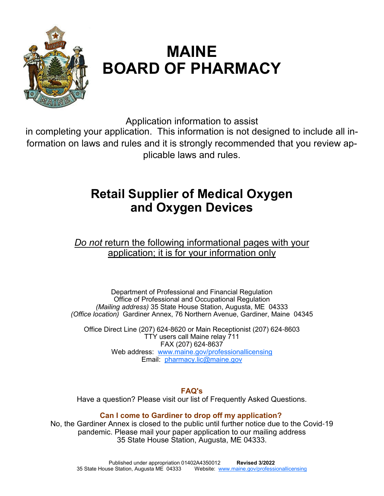

# **MAINE BOARD OF PHARMACY**

Application information to assist

in completing your application. This information is not designed to include all information on laws and rules and it is strongly recommended that you review applicable laws and rules.

# **Retail Supplier of Medical Oxygen and Oxygen Devices**

*Do not* return the following informational pages with your application; it is for your information only

Department of Professional and Financial Regulation Office of Professional and Occupational Regulation *(Mailing address)* 35 State House Station, Augusta, ME 04333 *(Office location)* Gardiner Annex, 76 Northern Avenue, Gardiner, Maine 04345

Office Direct Line (207) 624-8620 or Main Receptionist (207) 624-8603 TTY users call Maine relay 711 FAX (207) 624-8637 Web address: www.maine.gov/professionallicensing Email: pharmacy.lic@maine.gov

### **FAQ's**

Have a question? Please visit our list of Frequently Asked Questions.

# **Can I come to Gardiner to drop off my application?**

No, the Gardiner Annex is closed to the public until further notice due to the Covid-19 pandemic. Please mail your paper application to our mailing address 35 State House Station, Augusta, ME 04333.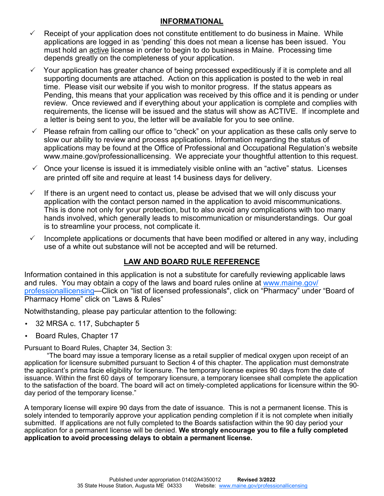#### **INFORMATIONAL**

- Receipt of your application does not constitute entitlement to do business in Maine. While applications are logged in as 'pending' this does not mean a license has been issued. You must hold an active license in order to begin to do business in Maine. Processing time depends greatly on the completeness of your application.
- Your application has greater chance of being processed expeditiously if it is complete and all supporting documents are attached. Action on this application is posted to the web in real time. Please visit our website if you wish to monitor progress. If the status appears as Pending, this means that your application was received by this office and it is pending or under review. Once reviewed and if everything about your application is complete and complies with requirements, the license will be issued and the status will show as ACTIVE. If incomplete and a letter is being sent to you, the letter will be available for you to see online.
- $\checkmark$  Please refrain from calling our office to "check" on your application as these calls only serve to slow our ability to review and process applications. Information regarding the status of applications may be found at the Office of Professional and Occupational Regulation's website www.maine.gov/professionallicensing. We appreciate your thoughtful attention to this request.
- $\checkmark$  Once your license is issued it is immediately visible online with an "active" status. Licenses are printed off site and require at least 14 business days for delivery.
- $\checkmark$  If there is an urgent need to contact us, please be advised that we will only discuss your application with the contact person named in the application to avoid miscommunications. This is done not only for your protection, but to also avoid any complications with too many hands involved, which generally leads to miscommunication or misunderstandings. Our goal is to streamline your process, not complicate it.
- Incomplete applications or documents that have been modified or altered in any way, including use of a white out substance will not be accepted and will be returned.

# **LAW AND BOARD RULE REFERENCE**

Information contained in this application is not a substitute for carefully reviewing applicable laws and rules. You may obtain a copy of the laws and board rules online at www.maine.gov/ professionallicensing—Click on "list of licensed professionals", click on "Pharmacy" under "Board of Pharmacy Home" click on "Laws & Rules"

Notwithstanding, please pay particular attention to the following:

- 32 MRSA c. 117, Subchapter 5
- Board Rules, Chapter 17

Pursuant to Board Rules, Chapter 34, Section 3:

"The board may issue a temporary license as a retail supplier of medical oxygen upon receipt of an application for licensure submitted pursuant to Section 4 of this chapter. The application must demonstrate the applicant's prima facie eligibility for licensure. The temporary license expires 90 days from the date of issuance. Within the first 60 days of temporary licensure, a temporary licensee shall complete the application to the satisfaction of the board. The board will act on timely-completed applications for licensure within the 90 day period of the temporary license."

A temporary license will expire 90 days from the date of issuance. This is not a permanent license. This is solely intended to temporarily approve your application pending completion if it is not complete when initially submitted. If applications are not fully completed to the Boards satisfaction within the 90 day period your application for a permanent license will be denied. **We strongly encourage you to file a fully completed application to avoid processing delays to obtain a permanent license.**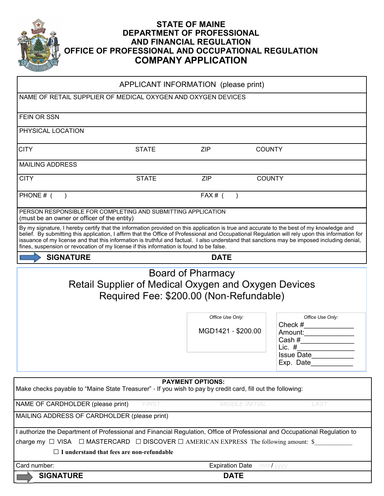

#### **STATE OF MAINE DEPARTMENT OF PROFESSIONAL AND FINANCIAL REGULATION OFFICE OF PROFESSIONAL AND OCCUPATIONAL REGULATION COMPANY APPLICATION**

| FEIN OR SSN                                                                                                                                                                                                                                                                                                                                                                                                                                                                                                                            |                                                                                                        |                                                             |                       |                                                                                                |
|----------------------------------------------------------------------------------------------------------------------------------------------------------------------------------------------------------------------------------------------------------------------------------------------------------------------------------------------------------------------------------------------------------------------------------------------------------------------------------------------------------------------------------------|--------------------------------------------------------------------------------------------------------|-------------------------------------------------------------|-----------------------|------------------------------------------------------------------------------------------------|
| PHYSICAL LOCATION                                                                                                                                                                                                                                                                                                                                                                                                                                                                                                                      |                                                                                                        |                                                             |                       |                                                                                                |
| <b>CITY</b>                                                                                                                                                                                                                                                                                                                                                                                                                                                                                                                            | <b>STATE</b>                                                                                           | <b>ZIP</b>                                                  | <b>COUNTY</b>         |                                                                                                |
| <b>MAILING ADDRESS</b>                                                                                                                                                                                                                                                                                                                                                                                                                                                                                                                 |                                                                                                        |                                                             |                       |                                                                                                |
| <b>CITY</b>                                                                                                                                                                                                                                                                                                                                                                                                                                                                                                                            | <b>STATE</b>                                                                                           | <b>ZIP</b>                                                  | <b>COUNTY</b>         |                                                                                                |
| PHONE # (                                                                                                                                                                                                                                                                                                                                                                                                                                                                                                                              |                                                                                                        | $FAX#$ (                                                    |                       |                                                                                                |
| PERSON RESPONSIBLE FOR COMPLETING AND SUBMITTING APPLICATION<br>(must be an owner or officer of the entity)                                                                                                                                                                                                                                                                                                                                                                                                                            |                                                                                                        |                                                             |                       |                                                                                                |
| By my signature, I hereby certify that the information provided on this application is true and accurate to the best of my knowledge and<br>belief. By submitting this application, I affirm that the Office of Professional and Occupational Regulation will rely upon this information for<br>issuance of my license and that this information is truthful and factual. I also understand that sanctions may be imposed including denial,<br>fines, suspension or revocation of my license if this information is found to be false. |                                                                                                        |                                                             |                       |                                                                                                |
| <b>SIGNATURE</b>                                                                                                                                                                                                                                                                                                                                                                                                                                                                                                                       |                                                                                                        | <b>DATE</b>                                                 |                       |                                                                                                |
|                                                                                                                                                                                                                                                                                                                                                                                                                                                                                                                                        |                                                                                                        |                                                             |                       |                                                                                                |
|                                                                                                                                                                                                                                                                                                                                                                                                                                                                                                                                        | <b>Retail Supplier of Medical Oxygen and Oxygen Devices</b><br>Required Fee: \$200.00 (Non-Refundable) | Board of Pharmacy<br>Office Use Only:<br>MGD1421 - \$200.00 |                       | Office Use Only:<br>Check #<br>Amount:<br>Cash #<br>Lic. $#$<br><b>Issue Date</b><br>Exp. Date |
|                                                                                                                                                                                                                                                                                                                                                                                                                                                                                                                                        |                                                                                                        | <b>PAYMENT OPTIONS:</b>                                     |                       |                                                                                                |
| Make checks payable to "Maine State Treasurer" - If you wish to pay by credit card, fill out the following:                                                                                                                                                                                                                                                                                                                                                                                                                            |                                                                                                        |                                                             |                       |                                                                                                |
| NAME OF CARDHOLDER (please print)                                                                                                                                                                                                                                                                                                                                                                                                                                                                                                      | <b>FIRST</b>                                                                                           |                                                             | <b>MIDDLE INITIAL</b> | <b>LAST</b>                                                                                    |
| MAILING ADDRESS OF CARDHOLDER (please print)                                                                                                                                                                                                                                                                                                                                                                                                                                                                                           |                                                                                                        |                                                             |                       |                                                                                                |
| I authorize the Department of Professional and Financial Regulation, Office of Professional and Occupational Regulation to                                                                                                                                                                                                                                                                                                                                                                                                             |                                                                                                        |                                                             |                       |                                                                                                |
| charge my $\Box$ VISA $\Box$ MASTERCARD $\Box$ DISCOVER $\Box$ AMERICAN EXPRESS The following amount: \$<br>$\Box$ I understand that fees are non-refundable                                                                                                                                                                                                                                                                                                                                                                           |                                                                                                        |                                                             |                       |                                                                                                |
| Card number:                                                                                                                                                                                                                                                                                                                                                                                                                                                                                                                           |                                                                                                        | <b>Expiration Date</b>                                      |                       | $mmI$ yyyy                                                                                     |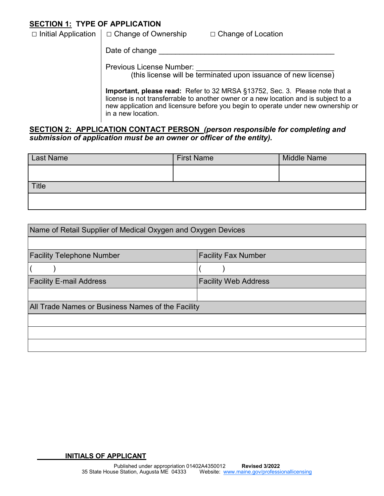### **SECTION 1: TYPE OF APPLICATION**

| $\Box$ Initial Application $\Box$ Change of Ownership | $\Box$ Change of Location |
|-------------------------------------------------------|---------------------------|
|                                                       |                           |

Date of change

Previous License Number:

(this license will be terminated upon issuance of new license)

**Important, please read:** Refer to 32 MRSA §13752, Sec. 3. Please note that a license is not transferrable to another owner or a new location and is subject to a new application and licensure before you begin to operate under new ownership or in a new location.

#### **SECTION 2: APPLICATION CONTACT PERSON** *(person responsible for completing and submission of application must be an owner or officer of the entity).*

| <b>Last Name</b> | <b>First Name</b> | <b>Middle Name</b> |
|------------------|-------------------|--------------------|
|                  |                   |                    |
| Title            |                   |                    |
|                  |                   |                    |

| Name of Retail Supplier of Medical Oxygen and Oxygen Devices |                             |  |  |  |  |
|--------------------------------------------------------------|-----------------------------|--|--|--|--|
|                                                              |                             |  |  |  |  |
| <b>Facility Telephone Number</b>                             | <b>Facility Fax Number</b>  |  |  |  |  |
|                                                              |                             |  |  |  |  |
| <b>Facility E-mail Address</b>                               | <b>Facility Web Address</b> |  |  |  |  |
|                                                              |                             |  |  |  |  |
| All Trade Names or Business Names of the Facility            |                             |  |  |  |  |
|                                                              |                             |  |  |  |  |
|                                                              |                             |  |  |  |  |
|                                                              |                             |  |  |  |  |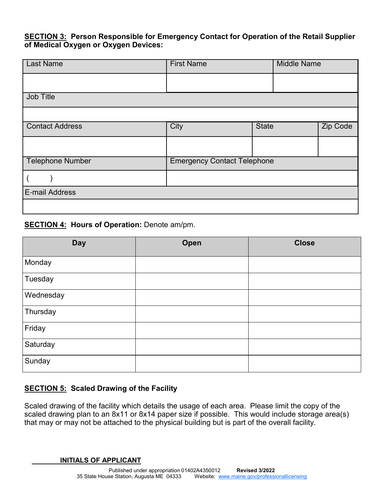#### **SECTION 3: Person Responsible for Emergency Contact for Operation of the Retail Supplier of Medical Oxygen or Oxygen Devices:**

| <b>Last Name</b>       | <b>First Name</b>                  |              | <b>Middle Name</b> |          |
|------------------------|------------------------------------|--------------|--------------------|----------|
|                        |                                    |              |                    |          |
| Job Title              |                                    |              |                    |          |
|                        |                                    |              |                    |          |
| <b>Contact Address</b> | City                               | <b>State</b> |                    | Zip Code |
|                        |                                    |              |                    |          |
| Telephone Number       | <b>Emergency Contact Telephone</b> |              |                    |          |
|                        |                                    |              |                    |          |
| E-mail Address         |                                    |              |                    |          |
|                        |                                    |              |                    |          |

#### **SECTION 4: Hours of Operation: Denote am/pm.**

| <b>Day</b> | Open | <b>Close</b> |
|------------|------|--------------|
| Monday     |      |              |
| Tuesday    |      |              |
| Wednesday  |      |              |
| Thursday   |      |              |
| Friday     |      |              |
| Saturday   |      |              |
| Sunday     |      |              |

### **SECTION 5: Scaled Drawing of the Facility**

Scaled drawing of the facility which details the usage of each area. Please limit the copy of the scaled drawing plan to an 8x11 or 8x14 paper size if possible. This would include storage area(s) that may or may not be attached to the physical building but is part of the overall facility.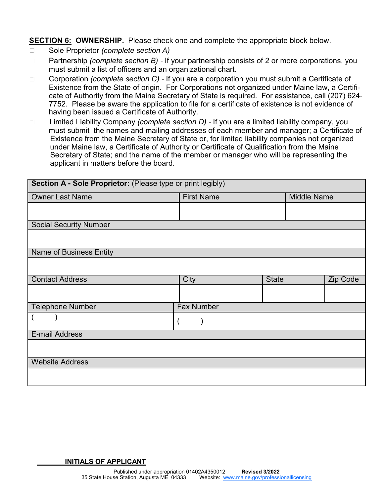**SECTION 6: OWNERSHIP.** Please check one and complete the appropriate block below.

- □ Sole Proprietor *(complete section A)*
- □ Partnership *(complete section B)*  If your partnership consists of 2 or more corporations, you must submit a list of officers and an organizational chart.
- □ Corporation *(complete section C)*  If you are a corporation you must submit a Certificate of Existence from the State of origin. For Corporations not organized under Maine law, a Certificate of Authority from the Maine Secretary of State is required. For assistance, call (207) 624- 7752. Please be aware the application to file for a certificate of existence is not evidence of having been issued a Certificate of Authority.
- □ Limited Liability Company *(complete section D)*  If you are a limited liability company, you must submit the names and mailing addresses of each member and manager; a Certificate of Existence from the Maine Secretary of State or, for limited liability companies not organized under Maine law, a Certificate of Authority or Certificate of Qualification from the Maine Secretary of State; and the name of the member or manager who will be representing the applicant in matters before the board.

| Section A - Sole Proprietor: (Please type or print legibly) |                   |              |                    |                 |  |  |  |
|-------------------------------------------------------------|-------------------|--------------|--------------------|-----------------|--|--|--|
| <b>Owner Last Name</b>                                      | <b>First Name</b> |              | <b>Middle Name</b> |                 |  |  |  |
|                                                             |                   |              |                    |                 |  |  |  |
| <b>Social Security Number</b>                               |                   |              |                    |                 |  |  |  |
|                                                             |                   |              |                    |                 |  |  |  |
| <b>Name of Business Entity</b>                              |                   |              |                    |                 |  |  |  |
|                                                             |                   |              |                    |                 |  |  |  |
| <b>Contact Address</b>                                      | City              | <b>State</b> |                    | <b>Zip Code</b> |  |  |  |
|                                                             |                   |              |                    |                 |  |  |  |
| <b>Telephone Number</b>                                     | <b>Fax Number</b> |              |                    |                 |  |  |  |
|                                                             |                   |              |                    |                 |  |  |  |
| E-mail Address                                              |                   |              |                    |                 |  |  |  |
|                                                             |                   |              |                    |                 |  |  |  |
| <b>Website Address</b>                                      |                   |              |                    |                 |  |  |  |
|                                                             |                   |              |                    |                 |  |  |  |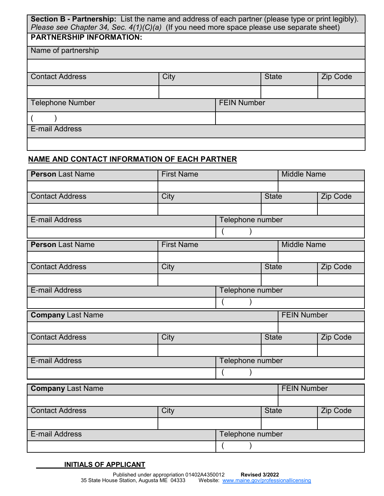| <b>Section B - Partnership:</b> List the name and address of each partner (please type or print legibly).<br>Please see Chapter 34, Sec. $4(1)(C)(a)$ (If you need more space please use separate sheet) |      |                    |              |                 |  |  |
|----------------------------------------------------------------------------------------------------------------------------------------------------------------------------------------------------------|------|--------------------|--------------|-----------------|--|--|
| <b>PARTNERSHIP INFORMATION:</b>                                                                                                                                                                          |      |                    |              |                 |  |  |
| Name of partnership                                                                                                                                                                                      |      |                    |              |                 |  |  |
|                                                                                                                                                                                                          |      |                    |              |                 |  |  |
| <b>Contact Address</b>                                                                                                                                                                                   | City |                    | <b>State</b> | <b>Zip Code</b> |  |  |
|                                                                                                                                                                                                          |      |                    |              |                 |  |  |
| <b>Telephone Number</b>                                                                                                                                                                                  |      | <b>FEIN Number</b> |              |                 |  |  |
|                                                                                                                                                                                                          |      |                    |              |                 |  |  |
| E-mail Address                                                                                                                                                                                           |      |                    |              |                 |  |  |
|                                                                                                                                                                                                          |      |                    |              |                 |  |  |

# **NAME AND CONTACT INFORMATION OF EACH PARTNER**

| <b>Person Last Name</b>  | <b>First Name</b> |                  |                    | <b>Middle Name</b> |                 |  |
|--------------------------|-------------------|------------------|--------------------|--------------------|-----------------|--|
|                          |                   |                  |                    |                    |                 |  |
| <b>Contact Address</b>   | City              |                  | <b>State</b>       |                    | <b>Zip Code</b> |  |
|                          |                   |                  |                    |                    |                 |  |
| <b>E-mail Address</b>    |                   | Telephone number |                    |                    |                 |  |
|                          |                   |                  |                    |                    |                 |  |
| <b>Person Last Name</b>  | <b>First Name</b> |                  |                    | <b>Middle Name</b> |                 |  |
|                          |                   |                  |                    |                    |                 |  |
| <b>Contact Address</b>   | City              |                  | <b>State</b>       |                    | Zip Code        |  |
|                          |                   |                  |                    |                    |                 |  |
| E-mail Address           |                   |                  | Telephone number   |                    |                 |  |
|                          |                   |                  |                    |                    |                 |  |
| <b>Company Last Name</b> |                   |                  |                    | <b>FEIN Number</b> |                 |  |
|                          |                   |                  |                    |                    |                 |  |
| <b>Contact Address</b>   | City              |                  | <b>State</b>       |                    | <b>Zip Code</b> |  |
|                          |                   |                  |                    |                    |                 |  |
| <b>E-mail Address</b>    |                   | Telephone number |                    |                    |                 |  |
|                          |                   |                  |                    |                    |                 |  |
| <b>Company Last Name</b> |                   |                  | <b>FEIN Number</b> |                    |                 |  |
|                          |                   |                  |                    |                    |                 |  |
| <b>Contact Address</b>   | City              |                  | <b>State</b>       |                    | Zip Code        |  |

| E-mail Address | Telephone number |  |  |
|----------------|------------------|--|--|
|                |                  |  |  |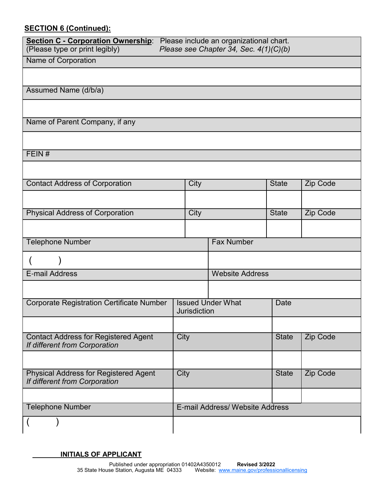# **SECTION 6 (Continued):**

| <b>Section C - Corporation Ownership:</b><br>Please include an organizational chart. |      |                     |                                        |              |          |  |  |
|--------------------------------------------------------------------------------------|------|---------------------|----------------------------------------|--------------|----------|--|--|
| (Please type or print legibly)                                                       |      |                     | Please see Chapter 34, Sec. 4(1)(C)(b) |              |          |  |  |
| Name of Corporation                                                                  |      |                     |                                        |              |          |  |  |
|                                                                                      |      |                     |                                        |              |          |  |  |
| Assumed Name (d/b/a)                                                                 |      |                     |                                        |              |          |  |  |
|                                                                                      |      |                     |                                        |              |          |  |  |
| Name of Parent Company, if any                                                       |      |                     |                                        |              |          |  |  |
|                                                                                      |      |                     |                                        |              |          |  |  |
| FEIN#                                                                                |      |                     |                                        |              |          |  |  |
|                                                                                      |      |                     |                                        |              |          |  |  |
|                                                                                      |      |                     |                                        |              |          |  |  |
| <b>Contact Address of Corporation</b>                                                |      | City                |                                        | <b>State</b> | Zip Code |  |  |
|                                                                                      |      |                     |                                        |              |          |  |  |
| <b>Physical Address of Corporation</b>                                               |      | City                |                                        | <b>State</b> | Zip Code |  |  |
|                                                                                      |      |                     |                                        |              |          |  |  |
|                                                                                      |      |                     |                                        |              |          |  |  |
| <b>Telephone Number</b>                                                              |      |                     | <b>Fax Number</b>                      |              |          |  |  |
|                                                                                      |      |                     |                                        |              |          |  |  |
| <b>E-mail Address</b>                                                                |      |                     | <b>Website Address</b>                 |              |          |  |  |
|                                                                                      |      |                     |                                        |              |          |  |  |
| <b>Corporate Registration Certificate Number</b>                                     |      | <b>Jurisdiction</b> | <b>Issued Under What</b>               | Date         |          |  |  |
|                                                                                      |      |                     |                                        |              |          |  |  |
| <b>Contact Address for Registered Agent</b><br>If different from Corporation         | City |                     |                                        | <b>State</b> | Zip Code |  |  |
|                                                                                      |      |                     |                                        |              |          |  |  |
| <b>Physical Address for Registered Agent</b><br>If different from Corporation        | City |                     |                                        | <b>State</b> | Zip Code |  |  |
|                                                                                      |      |                     |                                        |              |          |  |  |
| <b>Telephone Number</b>                                                              |      |                     | E-mail Address/ Website Address        |              |          |  |  |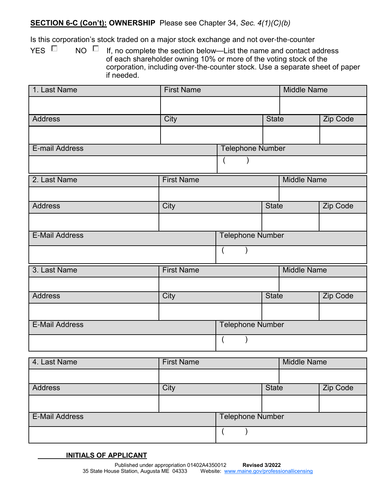# **SECTION 6-C (Con't): OWNERSHIP** Please see Chapter 34, *Sec. 4(1)(C)(b)*

Is this corporation's stock traded on a major stock exchange and not over-the-counter

YES  $\Box$  NO  $\Box$  If, no complete the section below—List the name and contact address of each shareholder owning 10% or more of the voting stock of the corporation, including over-the-counter stock. Use a separate sheet of paper if needed.

| 1. Last Name          | <b>First Name</b> |                         |              | <b>Middle Name</b> |                 |
|-----------------------|-------------------|-------------------------|--------------|--------------------|-----------------|
|                       |                   |                         |              |                    |                 |
| <b>Address</b>        | City              |                         | <b>State</b> |                    | <b>Zip Code</b> |
|                       |                   |                         |              |                    |                 |
| <b>E-mail Address</b> |                   | <b>Telephone Number</b> |              |                    |                 |
|                       |                   |                         |              |                    |                 |
| 2. Last Name<br>I     | <b>First Name</b> |                         |              | <b>Middle Name</b> |                 |
|                       |                   |                         |              |                    |                 |
| <b>Address</b>        | City              |                         | <b>State</b> |                    | Zip Code        |
|                       |                   |                         |              |                    |                 |
| <b>E-Mail Address</b> |                   | <b>Telephone Number</b> |              |                    |                 |
|                       |                   |                         |              |                    |                 |
| 3. Last Name          | <b>First Name</b> |                         |              | <b>Middle Name</b> |                 |
|                       |                   |                         |              |                    |                 |
| <b>Address</b>        | City              |                         | <b>State</b> |                    | <b>Zip Code</b> |
|                       |                   |                         |              |                    |                 |
| <b>E-Mail Address</b> |                   | Telephone Number        |              |                    |                 |
|                       |                   |                         |              |                    |                 |
| 4. Last Name          | <b>First Name</b> |                         |              | <b>Middle Name</b> |                 |
|                       |                   |                         |              |                    |                 |
| <b>Address</b>        | City              |                         | <b>State</b> |                    | Zip Code        |
|                       |                   |                         |              |                    |                 |

| <b>E-Mail Address</b> | <b>Telephone Number</b> |  |
|-----------------------|-------------------------|--|
|                       |                         |  |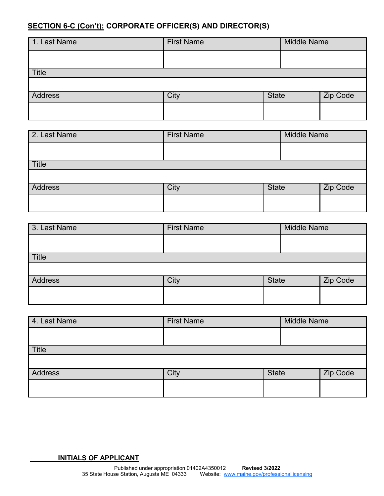# **SECTION 6-C (Con't): CORPORATE OFFICER(S) AND DIRECTOR(S)**

| 1. Last Name   | <b>First Name</b> | <b>Middle Name</b> |          |
|----------------|-------------------|--------------------|----------|
|                |                   |                    |          |
| <b>Title</b>   |                   |                    |          |
|                |                   |                    |          |
| <b>Address</b> | City              | <b>State</b>       | Zip Code |
|                |                   |                    |          |

| 2. Last Name | <b>First Name</b> |              | <b>Middle Name</b> |          |  |
|--------------|-------------------|--------------|--------------------|----------|--|
|              |                   |              |                    |          |  |
| <b>Title</b> |                   |              |                    |          |  |
|              |                   |              |                    |          |  |
| Address      | City              | <b>State</b> |                    | Zip Code |  |
|              |                   |              |                    |          |  |

| 3. Last Name   | <b>First Name</b> | <b>Middle Name</b> |  |          |
|----------------|-------------------|--------------------|--|----------|
|                |                   |                    |  |          |
| <b>Title</b>   |                   |                    |  |          |
|                |                   |                    |  |          |
| <b>Address</b> | City              | <b>State</b>       |  | Zip Code |
|                |                   |                    |  |          |

| 4. Last Name | <b>First Name</b> |              | <b>Middle Name</b> |          |  |
|--------------|-------------------|--------------|--------------------|----------|--|
|              |                   |              |                    |          |  |
| <b>Title</b> |                   |              |                    |          |  |
|              |                   |              |                    |          |  |
| Address      | City              | <b>State</b> |                    | Zip Code |  |
|              |                   |              |                    |          |  |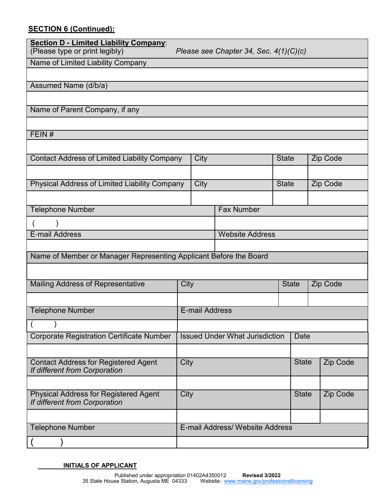# **SECTION 6 (Continued):**

| Section D - Limited Liability Company:<br>(Please type or print legibly)<br>Please see Chapter 34, Sec. $4(1)(C)(c)$ |      |                       |                                       |              |              |  |          |
|----------------------------------------------------------------------------------------------------------------------|------|-----------------------|---------------------------------------|--------------|--------------|--|----------|
| Name of Limited Liability Company                                                                                    |      |                       |                                       |              |              |  |          |
|                                                                                                                      |      |                       |                                       |              |              |  |          |
| Assumed Name (d/b/a)                                                                                                 |      |                       |                                       |              |              |  |          |
|                                                                                                                      |      |                       |                                       |              |              |  |          |
| Name of Parent Company, if any                                                                                       |      |                       |                                       |              |              |  |          |
|                                                                                                                      |      |                       |                                       |              |              |  |          |
| FEIN#                                                                                                                |      |                       |                                       |              |              |  |          |
|                                                                                                                      |      |                       |                                       |              |              |  |          |
| <b>Contact Address of Limited Liability Company</b>                                                                  |      | City                  |                                       | <b>State</b> |              |  | Zip Code |
|                                                                                                                      |      |                       |                                       |              |              |  |          |
| Physical Address of Limited Liability Company                                                                        |      | City                  |                                       | <b>State</b> |              |  | Zip Code |
|                                                                                                                      |      |                       |                                       |              |              |  |          |
| <b>Fax Number</b><br><b>Telephone Number</b>                                                                         |      |                       |                                       |              |              |  |          |
|                                                                                                                      |      |                       |                                       |              |              |  |          |
| <b>E-mail Address</b><br><b>Website Address</b>                                                                      |      |                       |                                       |              |              |  |          |
|                                                                                                                      |      |                       |                                       |              |              |  |          |
| Name of Member or Manager Representing Applicant Before the Board                                                    |      |                       |                                       |              |              |  |          |
|                                                                                                                      |      |                       |                                       |              |              |  |          |
| Mailing Address of Representative                                                                                    | City |                       |                                       |              | <b>State</b> |  | Zip Code |
|                                                                                                                      |      |                       |                                       |              |              |  |          |
| <b>Telephone Number</b>                                                                                              |      | <b>E-mail Address</b> |                                       |              |              |  |          |
|                                                                                                                      |      |                       |                                       |              |              |  |          |
| <b>Corporate Registration Certificate Number</b>                                                                     |      |                       | <b>Issued Under What Jurisdiction</b> |              | Date         |  |          |
|                                                                                                                      |      |                       |                                       |              |              |  |          |
|                                                                                                                      |      |                       |                                       |              | <b>State</b> |  |          |
| <b>Contact Address for Registered Agent</b><br>If different from Corporation                                         | City |                       |                                       |              |              |  | Zip Code |
|                                                                                                                      |      |                       |                                       |              |              |  |          |
| <b>Physical Address for Registered Agent</b>                                                                         | City |                       |                                       |              | <b>State</b> |  | Zip Code |
| If different from Corporation                                                                                        |      |                       |                                       |              |              |  |          |
|                                                                                                                      |      |                       |                                       |              |              |  |          |
| <b>Telephone Number</b>                                                                                              |      |                       | E-mail Address/ Website Address       |              |              |  |          |
|                                                                                                                      |      |                       |                                       |              |              |  |          |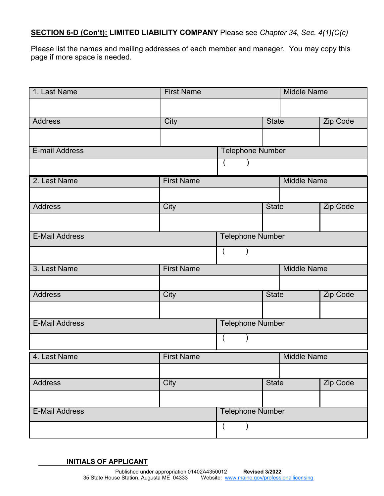# **SECTION 6-D (Con't): LIMITED LIABILITY COMPANY** Please see *Chapter 34, Sec. 4(1)(C(c)*

Please list the names and mailing addresses of each member and manager. You may copy this page if more space is needed.

| 1. Last Name          | <b>First Name</b>       |                         |              | <b>Middle Name</b> |          |  |
|-----------------------|-------------------------|-------------------------|--------------|--------------------|----------|--|
|                       |                         |                         |              |                    |          |  |
| <b>Address</b>        | City                    |                         | <b>State</b> |                    | Zip Code |  |
|                       |                         |                         |              |                    |          |  |
| E-mail Address        |                         | <b>Telephone Number</b> |              |                    |          |  |
|                       |                         |                         |              |                    |          |  |
| 2. Last Name          | <b>First Name</b>       |                         |              | <b>Middle Name</b> |          |  |
|                       |                         |                         |              |                    |          |  |
| <b>Address</b>        | City                    |                         | <b>State</b> |                    | Zip Code |  |
|                       |                         |                         |              |                    |          |  |
| <b>E-Mail Address</b> | <b>Telephone Number</b> |                         |              |                    |          |  |
|                       |                         | $\left($                |              |                    |          |  |
| 3. Last Name          | <b>First Name</b>       |                         |              | <b>Middle Name</b> |          |  |
|                       |                         |                         |              |                    |          |  |
| <b>Address</b>        | City                    |                         | <b>State</b> |                    | Zip Code |  |
|                       |                         |                         |              |                    |          |  |
| <b>E-Mail Address</b> |                         | <b>Telephone Number</b> |              |                    |          |  |
|                       |                         |                         |              |                    |          |  |
| 4. Last Name          | <b>First Name</b>       |                         |              | <b>Middle Name</b> |          |  |
|                       |                         |                         |              |                    |          |  |
| <b>Address</b>        | City                    |                         | <b>State</b> |                    | Zip Code |  |
|                       |                         |                         |              |                    |          |  |
| <b>E-Mail Address</b> |                         | <b>Telephone Number</b> |              |                    |          |  |
|                       |                         | $\overline{A}$          |              |                    |          |  |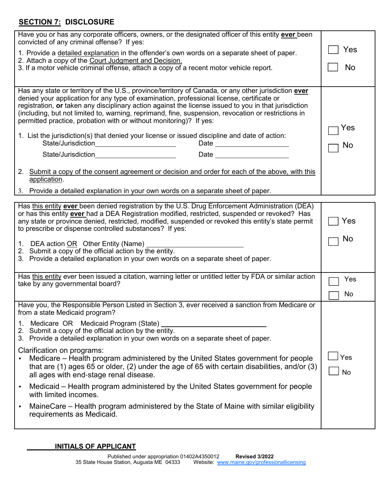# **SECTION 7: DISCLOSURE**

| Have you or has any corporate officers, owners, or the designated officer of this entity ever been<br>convicted of any criminal offense? If yes:                                                                                                                                                                                                                                                                                                                                        |                  |  |  |
|-----------------------------------------------------------------------------------------------------------------------------------------------------------------------------------------------------------------------------------------------------------------------------------------------------------------------------------------------------------------------------------------------------------------------------------------------------------------------------------------|------------------|--|--|
| 1. Provide a detailed explanation in the offender's own words on a separate sheet of paper.                                                                                                                                                                                                                                                                                                                                                                                             | Yes              |  |  |
| 2. Attach a copy of the Court Judgment and Decision.<br>3. If a motor vehicle criminal offense, attach a copy of a recent motor vehicle report.                                                                                                                                                                                                                                                                                                                                         | No               |  |  |
|                                                                                                                                                                                                                                                                                                                                                                                                                                                                                         |                  |  |  |
| Has any state or territory of the U.S., province/territory of Canada, or any other jurisdiction ever<br>denied your application for any type of examination, professional license, certificate or<br>registration, or taken any disciplinary action against the license issued to you in that jurisdiction<br>(including, but not limited to, warning, reprimand, fine, suspension, revocation or restrictions in<br>permitted practice, probation with or without monitoring)? If yes: | Yes              |  |  |
| 1. List the jurisdiction(s) that denied your license or issued discipline and date of action:<br>State/Jurisdiction_________________________<br>Date __________________                                                                                                                                                                                                                                                                                                                 | No               |  |  |
| State/Jurisdiction<br><u> 1980 - Jan Stein Stein Stein Stein Stein Stein Stein Stein Stein Stein Stein Stein Stein Stein Stein Stein S</u>                                                                                                                                                                                                                                                                                                                                              |                  |  |  |
| 2. Submit a copy of the consent agreement or decision and order for each of the above, with this<br>application.                                                                                                                                                                                                                                                                                                                                                                        |                  |  |  |
| 3. Provide a detailed explanation in your own words on a separate sheet of paper.                                                                                                                                                                                                                                                                                                                                                                                                       |                  |  |  |
| Has this entity ever been denied registration by the U.S. Drug Enforcement Administration (DEA)<br>or has this entity ever had a DEA Registration modified, restricted, suspended or revoked? Has<br>any state or province denied, restricted, modified, suspended or revoked this entity's state permit<br>to prescribe or dispense controlled substances? If yes:<br>1. DEA action OR Other Entity (Name)<br>2. Submit a copy of the official action by the entity.                   |                  |  |  |
| 3. Provide a detailed explanation in your own words on a separate sheet of paper.                                                                                                                                                                                                                                                                                                                                                                                                       |                  |  |  |
| Has this entity ever been issued a citation, warning letter or untitled letter by FDA or similar action<br>take by any governmental board?                                                                                                                                                                                                                                                                                                                                              | Yes              |  |  |
|                                                                                                                                                                                                                                                                                                                                                                                                                                                                                         | No               |  |  |
| Have you, the Responsible Person Listed in Section 3, ever received a sanction from Medicare or<br>from a state Medicaid program?                                                                                                                                                                                                                                                                                                                                                       |                  |  |  |
| Medicare OR Medicaid Program (State)<br>1.<br>2. Submit a copy of the official action by the entity.<br>3. Provide a detailed explanation in your own words on a separate sheet of paper.                                                                                                                                                                                                                                                                                               |                  |  |  |
| Clarification on programs:<br>Medicare – Health program administered by the United States government for people<br>that are $(1)$ ages 65 or older, $(2)$ under the age of 65 with certain disabilities, and/or $(3)$<br>all ages with end-stage renal disease.                                                                                                                                                                                                                         | Yes<br><b>No</b> |  |  |
| Medicaid – Health program administered by the United States government for people<br>$\bullet$<br>with limited incomes.                                                                                                                                                                                                                                                                                                                                                                 |                  |  |  |
| MaineCare – Health program administered by the State of Maine with similar eligibility<br>requirements as Medicaid.                                                                                                                                                                                                                                                                                                                                                                     |                  |  |  |
|                                                                                                                                                                                                                                                                                                                                                                                                                                                                                         |                  |  |  |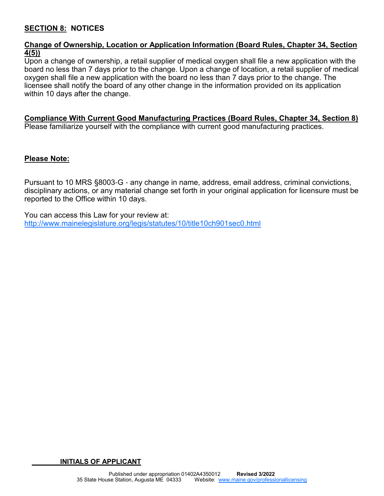### **SECTION 8: NOTICES**

#### **Change of Ownership, Location or Application Information (Board Rules, Chapter 34, Section 4(5))**

Upon a change of ownership, a retail supplier of medical oxygen shall file a new application with the board no less than 7 days prior to the change. Upon a change of location, a retail supplier of medical oxygen shall file a new application with the board no less than 7 days prior to the change. The licensee shall notify the board of any other change in the information provided on its application within 10 days after the change.

#### **Compliance With Current Good Manufacturing Practices (Board Rules, Chapter 34, Section 8)**

Please familiarize yourself with the compliance with current good manufacturing practices.

#### **Please Note:**

Pursuant to 10 MRS §8003-G - any change in name, address, email address, criminal convictions, disciplinary actions, or any material change set forth in your original application for licensure must be reported to the Office within 10 days.

You can access this Law for your review at: http://www.mainelegislature.org/legis/statutes/10/title10ch901sec0.html